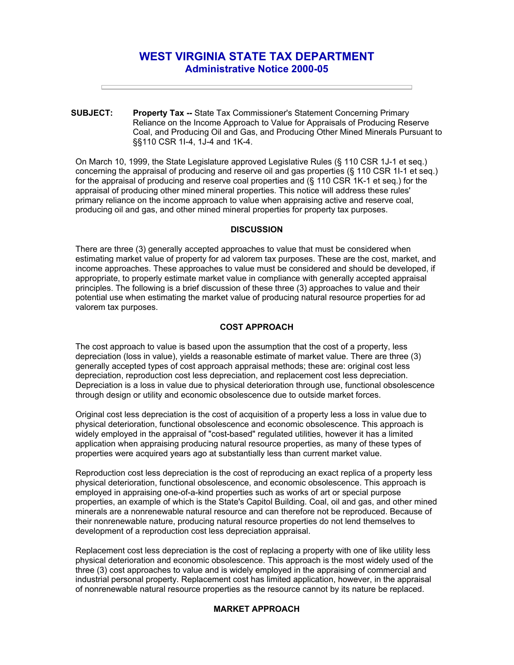# **WEST VIRGINIA STATE TAX DEPARTMENT Administrative Notice 2000-05**

**SUBJECT: Property Tax --** State Tax Commissioner's Statement Concerning Primary Reliance on the Income Approach to Value for Appraisals of Producing Reserve Coal, and Producing Oil and Gas, and Producing Other Mined Minerals Pursuant to §§110 CSR 1I-4, 1J-4 and 1K-4.

On March 10, 1999, the State Legislature approved Legislative Rules (§ 110 CSR 1J-1 et seq.) concerning the appraisal of producing and reserve oil and gas properties (§ 110 CSR 1I-1 et seq.) for the appraisal of producing and reserve coal properties and (§ 110 CSR 1K-1 et seq.) for the appraisal of producing other mined mineral properties. This notice will address these rules' primary reliance on the income approach to value when appraising active and reserve coal, producing oil and gas, and other mined mineral properties for property tax purposes.

## **DISCUSSION**

There are three (3) generally accepted approaches to value that must be considered when estimating market value of property for ad valorem tax purposes. These are the cost, market, and income approaches. These approaches to value must be considered and should be developed, if appropriate, to properly estimate market value in compliance with generally accepted appraisal principles. The following is a brief discussion of these three (3) approaches to value and their potential use when estimating the market value of producing natural resource properties for ad valorem tax purposes.

### **COST APPROACH**

The cost approach to value is based upon the assumption that the cost of a property, less depreciation (loss in value), yields a reasonable estimate of market value. There are three (3) generally accepted types of cost approach appraisal methods; these are: original cost less depreciation, reproduction cost less depreciation, and replacement cost less depreciation. Depreciation is a loss in value due to physical deterioration through use, functional obsolescence through design or utility and economic obsolescence due to outside market forces.

Original cost less depreciation is the cost of acquisition of a property less a loss in value due to physical deterioration, functional obsolescence and economic obsolescence. This approach is widely employed in the appraisal of "cost-based" regulated utilities, however it has a limited application when appraising producing natural resource properties, as many of these types of properties were acquired years ago at substantially less than current market value.

Reproduction cost less depreciation is the cost of reproducing an exact replica of a property less physical deterioration, functional obsolescence, and economic obsolescence. This approach is employed in appraising one-of-a-kind properties such as works of art or special purpose properties, an example of which is the State's Capitol Building. Coal, oil and gas, and other mined minerals are a nonrenewable natural resource and can therefore not be reproduced. Because of their nonrenewable nature, producing natural resource properties do not lend themselves to development of a reproduction cost less depreciation appraisal.

Replacement cost less depreciation is the cost of replacing a property with one of like utility less physical deterioration and economic obsolescence. This approach is the most widely used of the three (3) cost approaches to value and is widely employed in the appraising of commercial and industrial personal property. Replacement cost has limited application, however, in the appraisal of nonrenewable natural resource properties as the resource cannot by its nature be replaced.

# **MARKET APPROACH**